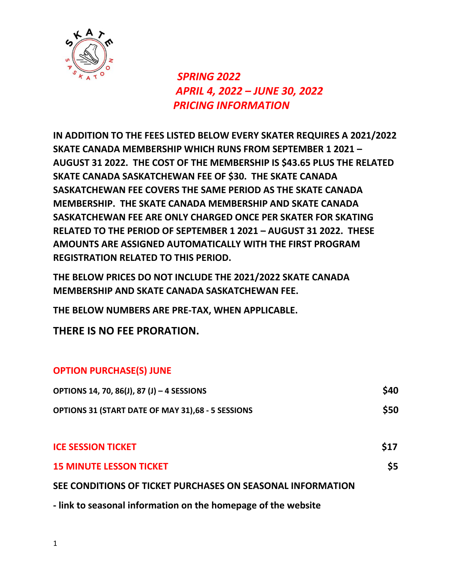

## *SPRING 2022 APRIL 4, 2022 – JUNE 30, 2022 PRICING INFORMATION*

**IN ADDITION TO THE FEES LISTED BELOW EVERY SKATER REQUIRES A 2021/2022 SKATE CANADA MEMBERSHIP WHICH RUNS FROM SEPTEMBER 1 2021 – AUGUST 31 2022. THE COST OF THE MEMBERSHIP IS \$43.65 PLUS THE RELATED SKATE CANADA SASKATCHEWAN FEE OF \$30. THE SKATE CANADA SASKATCHEWAN FEE COVERS THE SAME PERIOD AS THE SKATE CANADA MEMBERSHIP. THE SKATE CANADA MEMBERSHIP AND SKATE CANADA SASKATCHEWAN FEE ARE ONLY CHARGED ONCE PER SKATER FOR SKATING RELATED TO THE PERIOD OF SEPTEMBER 1 2021 – AUGUST 31 2022. THESE AMOUNTS ARE ASSIGNED AUTOMATICALLY WITH THE FIRST PROGRAM REGISTRATION RELATED TO THIS PERIOD.**

**THE BELOW PRICES DO NOT INCLUDE THE 2021/2022 SKATE CANADA MEMBERSHIP AND SKATE CANADA SASKATCHEWAN FEE.**

**THE BELOW NUMBERS ARE PRE-TAX, WHEN APPLICABLE.**

**THERE IS NO FEE PRORATION.**

## **OPTION PURCHASE(S) JUNE**

| <b>OPTIONS 14, 70, 86(J), 87 (J) - 4 SESSIONS</b>          | \$40 |
|------------------------------------------------------------|------|
| <b>OPTIONS 31 (START DATE OF MAY 31),68 - 5 SESSIONS</b>   | \$50 |
|                                                            |      |
| <b>ICE SESSION TICKET</b>                                  | \$17 |
| <b>15 MINUTE LESSON TICKET</b>                             | \$5  |
| SEE CONDITIONS OF TICKET PURCHASES ON SEASONAL INFORMATION |      |
|                                                            |      |

**- link to seasonal information on the homepage of the website**